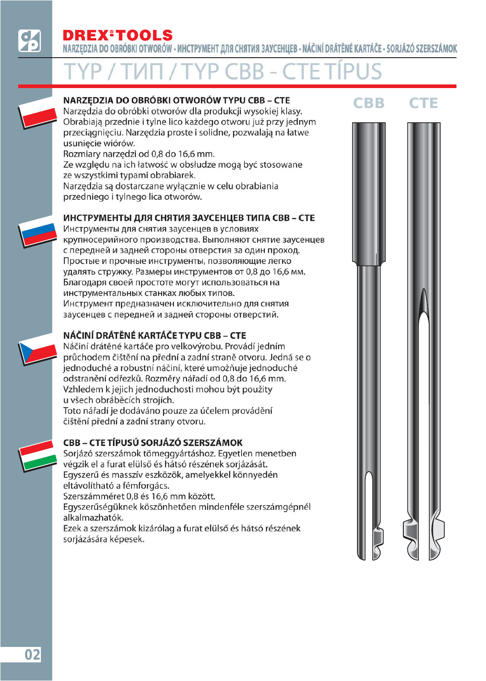NARZĘDZIA DO OBRÓBKI OTWORÓW - ИНСТРУМЕНТ ДЛЯ СНЯТИЯ ЗАУСЕНЦЕВ - NÁČINÍ DRÁTĚNÉ KARTÁČE - SORJÁZÓ SZERSZÁMOK



## NARZEDZIA DO OBRÓBKI OTWORÓW TYPU CBB - CTE

**CBB CTF** 

Narzędzia do obróbki otworów dla produkcji wysokiej klasy. Obrabiają przednie i tylne lico każdego otworu już przy jednym przeciągnięciu. Narzędzia proste i solidne, pozwalają na łatwe usuniecie wiórów.

Rozmiary narzędzi od 0,8 do 16,6 mm.

Ze względu na ich łatwość w obsłudze mogą być stosowane ze wszystkimi typami obrabiarek.

Narzędzia są dostarczane wyłącznie w celu obrabiania przedniego i tylnego lica otworów.

## ИНСТРУМЕНТЫ ДЛЯ СНЯТИЯ ЗАУСЕНЦЕВ ТИПА СВВ - СТЕ

Инструменты для снятия заусенцев в условиях крупносерийного производства. Выполняют снятие заусенцев с передней и задней стороны отверстия за один проход. Простые и прочные инструменты, позволяющие легко удалять стружку. Размеры инструментов от 0,8 до 16,6 мм. Благодаря своей простоте могут использоваться на инструментальных станках любых типов. Инструмент предназначен исключительно для снятия заусенцев с передней и задней стороны отверстий.

# NÁČINÍ DRÁTĚNÉ KARTÁČE TYPU CBB – CTE

Náčiní drátěné kartáče pro velkovýrobu. Provádí jedním průchodem čištění na přední a zadní straně otvoru. Jedná se o jednoduché a robustní náčiní, které umožňuje jednoduché odstranění odřezků. Rozměry nářadí od 0,8 do 16,6 mm. Vzhledem k jejich jednoduchosti mohou být použity u všech obráběcích strojích.

Toto nářadí je dodáváno pouze za účelem provádění čištění přední a zadní strany otvoru.

# CBB – CTE TÍPUSÚ SORJÁZÓ SZERSZÁMOK

Sorjázó szerszámok tömeggyártáshoz. Egyetlen menetben végzik el a furat elülső és hátsó részének sorjázását. Egyszerű és masszív eszközök, amelyekkel könnyedén eltávolítható a fémforgács.

Szerszámméret 0,8 és 16,6 mm között. Egyszerűségüknek köszönhetően mindenféle szerszámgépnél alkalmazhatók.

Ezek a szerszámok kizárólag a furat elülső és hátsó részének sorjázására képesek.

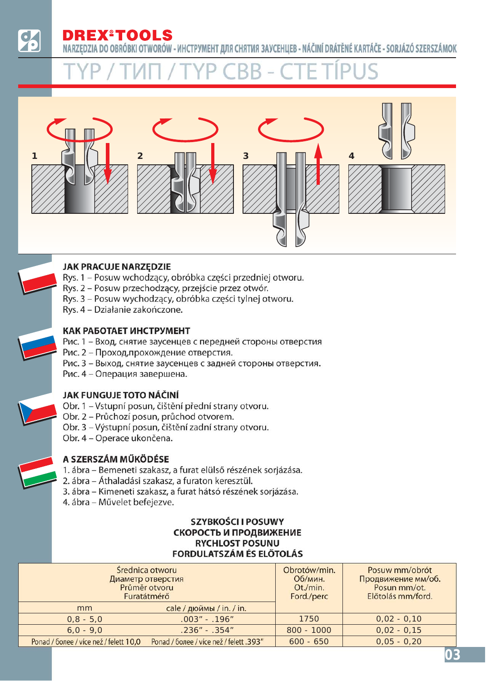NARZĘDZIA DO OBRÓBKI OTWORÓW - ИНСТРУМЕНТ ДЛЯ СНЯТИЯ ЗАУСЕНЦЕВ - NÁČINÍ DRÁTĚNÉ KARTÁČE - SORJÁZÓ SZERSZÁMOK



### **JAK PRACUJE NARZĘDZIE**

- Rys. 1 Posuw wchodzący, obróbka części przedniej otworu.
- Rys. 2 Posuw przechodzący, przejście przez otwór.
- Rys. 3 Posuw wychodzący, obróbka części tylnej otworu.
- Rys. 4 Działanie zakończone.

### КАК РАБОТАЕТ ИНСТРУМЕНТ

- Рис. 1 Вход, снятие заусенцев с передней стороны отверстия
- Рис. 2 Проход, прохождение отверстия.
- Рис. 3 Выход, снятие заусенцев с задней стороны отверстия.
- Рис. 4 Операция завершена.

### JAK FUNGUJE TOTO NÁČINÍ

- Obr. 1 Vstupní posun, čištění přední strany otvoru.
- Obr. 2 Průchozí posun, průchod otvorem.
- Obr. 3 Výstupní posun, čištění zadní strany otvoru.
- Obr. 4 Operace ukončena.

# A SZERSZÁM MŰKÖDÉSE

- 1. ábra Bemeneti szakasz, a furat elülső részének sorjázása.
- 2. ábra Áthaladási szakasz, a furaton keresztül.
- 3. ábra Kimeneti szakasz, a furat hátsó részének sorjázása.
- 4. ábra Művelet befejezve.

### SZYBKOŚCI I POSUWY СКОРОСТЬ И ПРОДВИЖЕНИЕ **RYCHLOST POSUNU FORDULATSZÁM ÉS ELŐTOLÁS**

|                                        | Średnica otworu<br>Диаметр отверстия<br>Průměr otvoru<br>Furatátmérő | Obrotów/min.<br>Об/мин.<br>Ot./min.<br>Ford./perc | Posuw mm/obrót<br>Продвижение мм/об.<br>Posun mm/ot.<br>Előtolás mm/ford. |
|----------------------------------------|----------------------------------------------------------------------|---------------------------------------------------|---------------------------------------------------------------------------|
| mm                                     | cale / дюймы / in. / in.                                             |                                                   |                                                                           |
| $0,8 - 5,0$                            | $.003" - .196"$                                                      | 1750                                              | $0,02 - 0,10$                                                             |
| $.236" - .354"$<br>$6,0 - 9,0$         |                                                                      | $800 - 1000$                                      | $0,02 - 0,15$                                                             |
| Ponad / более / více než / felett 10,0 | Ponad / более / více než / felett .393"                              | $600 - 650$                                       | $0,05 - 0,20$                                                             |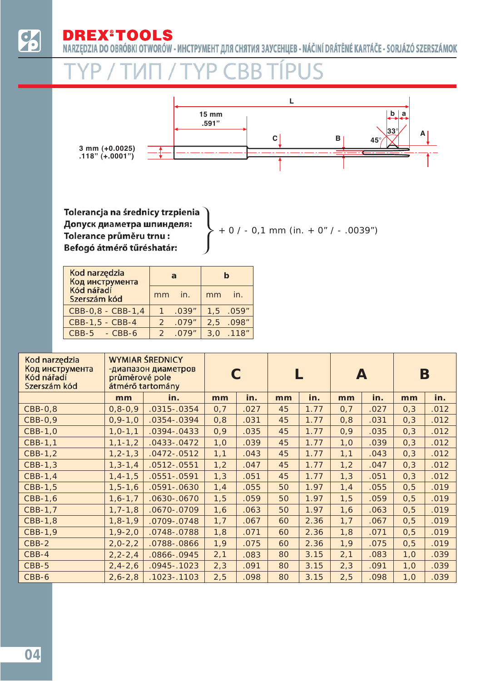$\dot{\mathbf{\delta}}$ 

**REX®TOOLS** D

NARZĘDZIA DO OBRÓBKI OTWORÓW - ИНСТРУМЕНТ ДЛЯ СНЯТИЯ ЗАУСЕНЦЕВ - NÁČINÍ DRÁTĚNÉ KARTÁČE - SORJÁZÓ SZERSZÁMOK



Tolerancja na średnicy trzpienia Допуск диаметра шпинделя: Tolerance průměru trnu : Befogó átmérő tűréshatár:

 $+ 0 / - 0.1$  mm (in.  $+ 0" / - .0039")$ 

| Kod narzędzia<br>Код инструмента |               | a      | h   |           |  |
|----------------------------------|---------------|--------|-----|-----------|--|
| Kód nářadí<br>Szerszám kód       | mm            | in.    | mm  | in.       |  |
| CBB-0,8 - CBB-1,4                |               | .039'' |     | 1,5 .059" |  |
| CBB-1,5 - CBB-4                  | $\mathcal{P}$ | .079'' | 2.5 | 098''     |  |
| $CBB-5 - CBB-6$                  | $\mathcal{P}$ | .079"  |     | 3,0 .118" |  |

| Kod narzędzia<br>Код инструмента<br>Kód nářadí<br>Szerszám kód | průměrové pole | <b>WYMIAR ŚREDNICY</b><br>-диапазон диаметров<br>átmérő tartomány |      |      |    |      | A    |      | Β    |      |
|----------------------------------------------------------------|----------------|-------------------------------------------------------------------|------|------|----|------|------|------|------|------|
|                                                                | mm             | in.                                                               | mm   | in.  | mm | in.  | mm   | in.  | mm   | in.  |
| $CBB-0,8$                                                      | $0, 8 - 0, 9$  | .0315 - .0354                                                     | 0,7  | .027 | 45 | 1.77 | 0,7  | .027 | 0,3  | .012 |
| CBB-0,9                                                        | $0, 9 - 1, 0$  | $.0354-.0394$                                                     | 0,8  | .031 | 45 | 1.77 | 0,8  | .031 | 0,3  | .012 |
| CBB-1,0                                                        | $1, 0 - 1, 1$  | $.0394 - .0433$                                                   | 0,9  | .035 | 45 | 1.77 | 0,9  | .035 | 0,3  | .012 |
| CBB-1,1                                                        | $1, 1 - 1, 2$  | $.0433-.0472$                                                     | 1,0  | .039 | 45 | 1.77 | 1,0  | .039 | 0,3  | .012 |
| CBB-1,2                                                        | $1, 2 - 1, 3$  | $.0472-.0512$                                                     | 1,1  | .043 | 45 | 1.77 | 1,1  | .043 | 0,3  | .012 |
| CBB-1,3                                                        | $1, 3 - 1, 4$  | $.0512-.0551$                                                     | 1,2  | .047 | 45 | 1.77 | 1,2  | .047 | 0,3  | .012 |
| CBB-1,4                                                        | $1, 4 - 1, 5$  | $.0551-.0591$                                                     | 1,3  | .051 | 45 | 1.77 | 1,3  | .051 | 0,3  | .012 |
| CBB-1,5                                                        | $1, 5 - 1, 6$  | $.0591 - .0630$                                                   | 1,4  | .055 | 50 | 1.97 | 1,4  | .055 | 0, 5 | .019 |
| CBB-1,6                                                        | $1, 6 - 1, 7$  | .0630 - .0670                                                     | 1, 5 | .059 | 50 | 1.97 | 1, 5 | .059 | 0, 5 | .019 |
| CBB-1,7                                                        | $1, 7 - 1, 8$  | .0670-.0709                                                       | 1,6  | .063 | 50 | 1.97 | 1,6  | .063 | 0, 5 | .019 |
| CBB-1,8                                                        | $1, 8 - 1, 9$  | .0709-.0748                                                       | 1,7  | .067 | 60 | 2.36 | 1,7  | .067 | 0, 5 | .019 |
| CBB-1,9                                                        | $1,9-2,0$      | .0748-.0788                                                       | 1,8  | .071 | 60 | 2.36 | 1,8  | .071 | 0, 5 | .019 |
| CBB-2                                                          | $2,0-2,2$      | .0788-.0866                                                       | 1,9  | .075 | 60 | 2.36 | 1,9  | .075 | 0, 5 | .019 |
| $CBB-4$                                                        | $2, 2 - 2, 4$  | .0866-.0945                                                       | 2,1  | .083 | 80 | 3.15 | 2,1  | .083 | 1,0  | .039 |
| CBB-5                                                          | $2, 4 - 2, 6$  | $.0945-.1023$                                                     | 2,3  | .091 | 80 | 3.15 | 2,3  | .091 | 1,0  | .039 |
| CBB-6                                                          | $2, 6 - 2, 8$  | $.1023 - .1103$                                                   | 2,5  | .098 | 80 | 3.15 | 2,5  | .098 | 1,0  | .039 |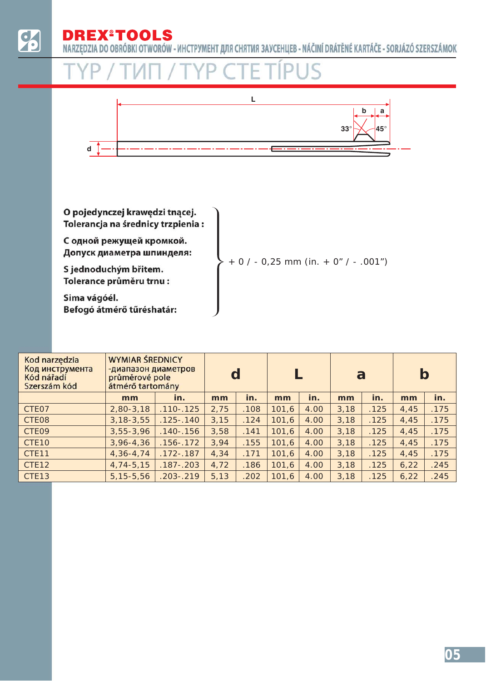NARZĘDZIA DO OBRÓBKI OTWORÓW - ИНСТРУМЕНТ ДЛЯ СНЯТИЯ ЗАУСЕНЦЕВ - NÁČINÍ DRÁTĚNÉ KARTÁČE - SORJÁZÓ SZERSZÁMOK



| Kod narzędzia<br>Код инструмента<br>Kód nářadí<br>Szerszám kód | <b>WYMIAR ŚREDNICY</b><br>-диапазон диаметров<br>průměrové pole<br>átmérő tartomány |               | d    |      |       |      | a    |      | b    |      |
|----------------------------------------------------------------|-------------------------------------------------------------------------------------|---------------|------|------|-------|------|------|------|------|------|
|                                                                | mm                                                                                  | in.           | mm   | in.  | mm    | in.  | mm   | in.  | mm   | in.  |
| CTE07                                                          | $2,80-3,18$                                                                         | $.110 - .125$ | 2,75 | .108 | 101,6 | 4.00 | 3,18 | .125 | 4,45 | .175 |
| CTE08                                                          | $3, 18 - 3, 55$                                                                     | $.125 - .140$ | 3,15 | .124 | 101,6 | 4.00 | 3,18 | .125 | 4,45 | .175 |
| CTE09                                                          | $3,55 - 3,96$                                                                       | $.140 - .156$ | 3,58 | .141 | 101,6 | 4.00 | 3,18 | .125 | 4,45 | .175 |
| CTE <sub>10</sub>                                              | $3,96 - 4,36$                                                                       | $.156 - .172$ | 3,94 | .155 | 101,6 | 4.00 | 3,18 | .125 | 4.45 | .175 |
| CTE <sub>11</sub>                                              | $4,36 - 4,74$                                                                       | $.172 - .187$ | 4,34 | .171 | 101,6 | 4.00 | 3,18 | .125 | 4,45 | .175 |
| CTE12                                                          | $4,74-5,15$                                                                         | $.187 - .203$ | 4,72 | .186 | 101,6 | 4.00 | 3,18 | .125 | 6,22 | .245 |
| CTE13                                                          | $5, 15 - 5, 56$                                                                     | $.203 - .219$ | 5,13 | .202 | 101,6 | 4.00 | 3,18 | .125 | 6,22 | .245 |
|                                                                |                                                                                     |               |      |      |       |      |      |      |      |      |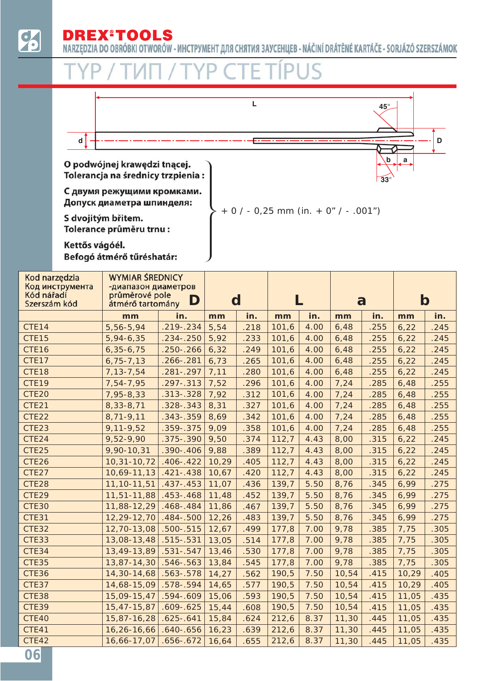# **DREX®TOOLS**

NARZĘDZIA DO OBRÓBKI OTWORÓW - ИНСТРУМЕНТ ДЛЯ СНЯТИЯ ЗАУСЕНЦЕВ - NÁČINÍ DRÁTĚNÉ KARTÁČE - SORJÁZÓ SZERSZÁMOK



| Kod narzędzia<br>Код инструмента<br>Kód nářadí<br>Szerszám kód | <b>WYMIAR ŚREDNICY</b><br>-диапазон диаметров<br>průměrové pole<br>D<br>átmérő tartomány |               | d     |      |       |      | a     |      | $\mathbf b$ |      |
|----------------------------------------------------------------|------------------------------------------------------------------------------------------|---------------|-------|------|-------|------|-------|------|-------------|------|
|                                                                | mm                                                                                       | in.           | mm    | in.  | mm    | in.  | mm    | in.  | mm          | in.  |
| CTE14                                                          | 5,56-5,94                                                                                | $.219 - .234$ | 5,54  | .218 | 101,6 | 4.00 | 6,48  | .255 | 6,22        | .245 |
| CTE15                                                          | 5,94-6,35                                                                                | $.234 - .250$ | 5,92  | .233 | 101,6 | 4.00 | 6,48  | .255 | 6,22        | .245 |
| CTE16                                                          | $6,35-6,75$                                                                              | $.250 - .266$ | 6,32  | .249 | 101,6 | 4.00 | 6,48  | .255 | 6,22        | .245 |
| CTE17                                                          | $6,75 - 7,13$                                                                            | $.266 - .281$ | 6,73  | .265 | 101,6 | 4.00 | 6,48  | .255 | 6,22        | .245 |
| CTE18                                                          | 7, 13 - 7, 54                                                                            | $.281 - .297$ | 7,11  | .280 | 101,6 | 4.00 | 6,48  | .255 | 6,22        | .245 |
| CTE19                                                          | 7,54-7,95                                                                                | .297 - . 313  | 7,52  | .296 | 101,6 | 4.00 | 7,24  | .285 | 6,48        | .255 |
| CTE20                                                          | 7,95-8,33                                                                                | $.313-.328$   | 7,92  | .312 | 101,6 | 4.00 | 7,24  | .285 | 6,48        | .255 |
| CTE21                                                          | 8,33-8,71                                                                                | $.328-.343$   | 8,31  | .327 | 101,6 | 4.00 | 7,24  | .285 | 6,48        | .255 |
| CTE22                                                          | $8,71-9,11$                                                                              | $.343-.359$   | 8,69  | .342 | 101,6 | 4.00 | 7,24  | .285 | 6,48        | .255 |
| CTE23                                                          | $9,11-9,52$                                                                              | .359 - . 375  | 9,09  | .358 | 101,6 | 4.00 | 7,24  | .285 | 6,48        | .255 |
| CTE24                                                          | 9,52-9,90                                                                                | .375 - . 390  | 9,50  | .374 | 112,7 | 4.43 | 8,00  | .315 | 6,22        | .245 |
| CTE25                                                          | 9,90-10,31                                                                               | $.390 - .406$ | 9,88  | .389 | 112,7 | 4.43 | 8,00  | .315 | 6,22        | .245 |
| CTE26                                                          | 10,31-10,72                                                                              | $.406 - .422$ | 10,29 | .405 | 112,7 | 4.43 | 8,00  | .315 | 6,22        | .245 |
| CTE27                                                          | 10,69-11,13                                                                              | $.421 - .438$ | 10,67 | .420 | 112,7 | 4.43 | 8,00  | .315 | 6,22        | .245 |
| CTE28                                                          | 11, 10-11, 51                                                                            | $.437 - .453$ | 11,07 | .436 | 139,7 | 5.50 | 8,76  | .345 | 6,99        | .275 |
| CTE29                                                          | 11,51-11,88                                                                              | $.453 - .468$ | 11,48 | .452 | 139,7 | 5.50 | 8,76  | .345 | 6,99        | .275 |
| <b>CTE30</b>                                                   | 11,88-12,29                                                                              | $.468 - .484$ | 11,86 | .467 | 139,7 | 5.50 | 8,76  | .345 | 6,99        | .275 |
| CTE31                                                          | 12,29-12,70                                                                              | $.484 - .500$ | 12,26 | .483 | 139,7 | 5.50 | 8,76  | .345 | 6,99        | .275 |
| CTE32                                                          | 12,70-13,08                                                                              | $.500 - .515$ | 12,67 | .499 | 177,8 | 7.00 | 9,78  | .385 | 7,75        | .305 |
| CTE33                                                          | 13,08-13,48                                                                              | $.515-.531$   | 13,05 | .514 | 177,8 | 7.00 | 9,78  | .385 | 7,75        | .305 |
| CTE34                                                          | 13,49-13,89                                                                              | $.531 - .547$ | 13,46 | .530 | 177,8 | 7.00 | 9,78  | .385 | 7,75        | .305 |
| <b>CTE35</b>                                                   | 13,87-14,30                                                                              | $.546 - .563$ | 13,84 | .545 | 177,8 | 7.00 | 9,78  | .385 | 7,75        | .305 |
| CTE36                                                          | 14,30-14,68                                                                              | $.563 - .578$ | 14,27 | .562 | 190,5 | 7.50 | 10,54 | .415 | 10,29       | .405 |
| CTE37                                                          | 14,68-15,09                                                                              | $.578 - .594$ | 14,65 | .577 | 190,5 | 7.50 | 10,54 | .415 | 10,29       | .405 |
| CTE38                                                          | 15,09-15,47                                                                              | $.594 - .609$ | 15,06 | .593 | 190,5 | 7.50 | 10,54 | .415 | 11,05       | .435 |
| <b>CTE39</b>                                                   | 15,47-15,87                                                                              | $.609 - .625$ | 15,44 | .608 | 190,5 | 7.50 | 10,54 | .415 | 11,05       | .435 |
| CTE40                                                          | 15,87-16,28                                                                              | $.625 - .641$ | 15,84 | .624 | 212,6 | 8.37 | 11,30 | .445 | 11,05       | .435 |
| CTE41                                                          | 16,26-16,66                                                                              | $.640 - .656$ | 16,23 | .639 | 212,6 | 8.37 | 11,30 | .445 | 11,05       | .435 |
| CTE42                                                          | 16,66-17,07                                                                              | $.656 - .672$ | 16,64 | .655 | 212,6 | 8.37 | 11,30 | .445 | 11,05       | .435 |
| 06                                                             |                                                                                          |               |       |      |       |      |       |      |             |      |